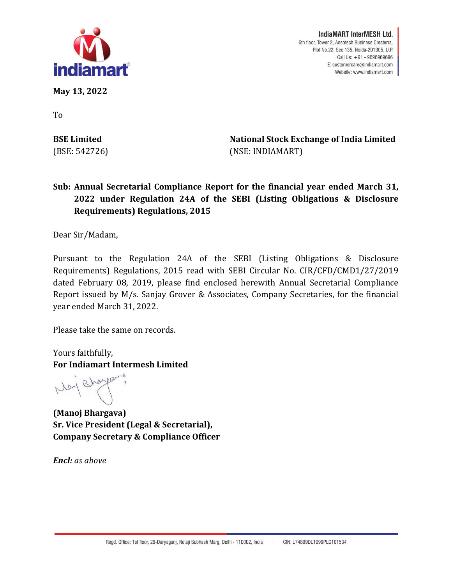

**lndiaMART lnterMESH Ltd.**  6th floor, Tower 2, Assotech Business Cresterra, Plot No.22, Sec 135, Noida-201305, U.P. Call Us: +91 - 9696969696 E: customercare@indiamart.com Website: www.indiamart.com

**May 13, 2022**

To

**BSE Limited** (BSE: 542726) **National Stock Exchange of India Limited** (NSE: INDIAMART)

## **Sub: Annual Secretarial Compliance Report for the financial year ended March 31, 2022 under Regulation 24A of the SEBI (Listing Obligations & Disclosure Requirements) Regulations, 2015**

Dear Sir/Madam,

Pursuant to the Regulation 24A of the SEBI (Listing Obligations & Disclosure Requirements) Regulations, 2015 read with SEBI Circular No. CIR/CFD/CMD1/27/2019 dated February 08, 2019, please find enclosed herewith Annual Secretarial Compliance Report issued by M/s. Sanjay Grover & Associates, Company Secretaries, for the financial year ended March 31, 2022.

Please take the same on records.

Yours faithfully, **For Indiamart Intermesh Limited**

1 sharp

**(Manoj Bhargava) Sr. Vice President (Legal & Secretarial), Company Secretary & Compliance Officer**

*Encl: as above*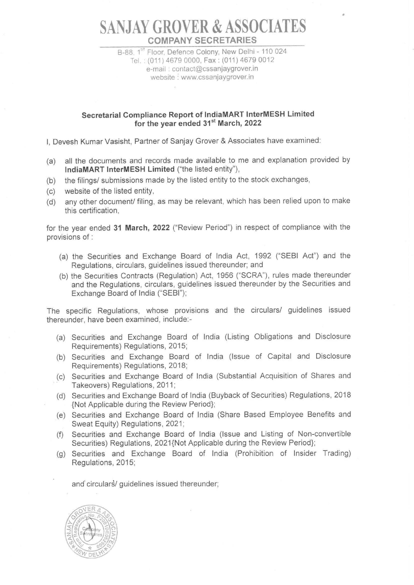## **SAN JAY GROVER & ASSOCIATES COMPANY SECRETARIES**

B-88, 1<sup>st</sup> Floor, Defence Colony, New Delhi - 110 024 Tel. : (011) 4679 0000, Fax : (011) 4679 0012 e-mail : contact@cssanjaygrover.in website : www.cssanjaygrover.in

## **Secretarial Compliance Report of lndiaMART lnterMESH Limited**  for the year ended 31<sup>st</sup> March, 2022

I, Devesh Kumar Vasisht, Partner of Sanjay Grover & Associates have examined:

- (a) all the documents and records made available to me and explanation provided by **lndiaMART lnterMESH Limited** ("the listed entity"),
- (b) the filings/ submissions made by the listed entity to the stock exchanges,
- (c) website of the listed entity,
- (d) any other document/ filing, as may be relevant, which has been relied upon to make this certification,

for the year ended **31 March, 2022** ("Review Period") in respect of compliance with the provisions of :

- (a) the Securities and Exchange Board of India Act, 1992 ("SEBI Act") and the Regulations, circulars, guidelines issued thereunder; and
- (b) the Securities Contracts (Regulation) Act, 1956 ("SCRA"), rules made thereunder and the Regulations, circulars, guidelines issued thereunder by the Securities and Exchange Board of India ("SEBI");

The specific Regulations, whose provisions and the circulars/ guidelines issued thereunder, have been examined, include:-

- (a) Securities and Exchange Board of India (Listing Obligations and Disclosure Requirements) Regulations, 2015;
- (b) Securities and Exchange Board of India (Issue of Capital and Disclosure Requirements) Regulations, 2018;
- (c) Securities and Exchange Board of India (Substantial Acquisition of Shares and Takeovers) Regulations, 2011;
- (d) Securities and Exchange Board of India (Buyback of Securities) Regulations, 2018 {Not Applicable during the Review Period};
- (e) Securities and Exchange Board of India (Share Based Employee Benefits and Sweat Equity) Regulations, 2021;
- (f) Securities and Exchange Board of India (Issue and Listing of Non-convertible Securities) Regulations, 2021{Not Applicable during the Review Period};
- (g) Securities and Exchange Board of India (Prohibition of Insider Trading) Regulations, 2015;

and circulars/ guidelines issued thereunder;